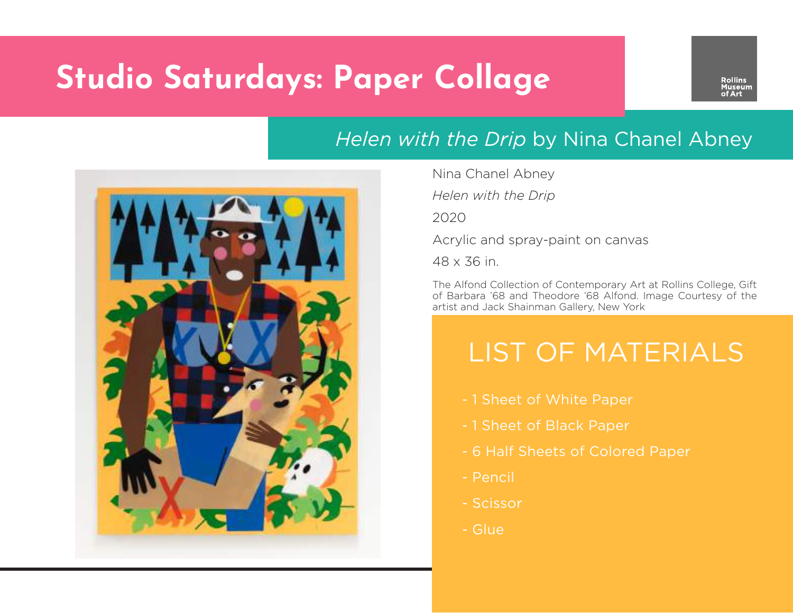# **Studio Saturdays: Paper Collage**

#### *Helen with the Drip* by Nina Chanel Abney



Nina Chanel Abney

*Helen with the Drip*

2020

Acrylic and spray-paint on canvas

48 x 36 in.

The Alfond Collection of Contemporary Art at Rollins College, Gift of Barbara '68 and Theodore '68 Alfond. Image Courtesy of the artist and Jack Shainman Gallery, New York

### LIST OF MATERIALS

- 1 Sheet of White Paper
- 1 Sheet of Black Paper
- 6 Half Sheets of Colored Paper
- Pencil
- Scissor
- Glue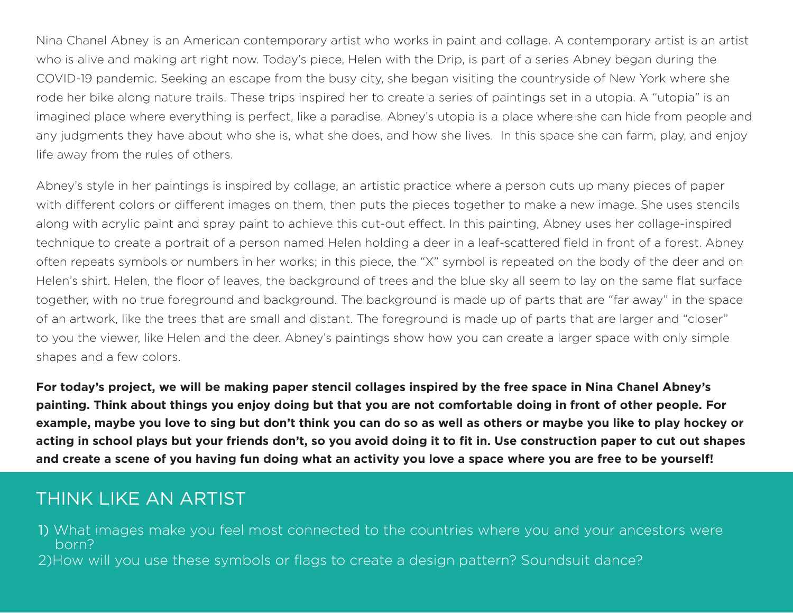Nina Chanel Abney is an American contemporary artist who works in paint and collage. A contemporary artist is an artist who is alive and making art right now. Today's piece, Helen with the Drip, is part of a series Abney began during the COVID-19 pandemic. Seeking an escape from the busy city, she began visiting the countryside of New York where she rode her bike along nature trails. These trips inspired her to create a series of paintings set in a utopia. A "utopia" is an imagined place where everything is perfect, like a paradise. Abney's utopia is a place where she can hide from people and any judgments they have about who she is, what she does, and how she lives. In this space she can farm, play, and enjoy life away from the rules of others.

Abney's style in her paintings is inspired by collage, an artistic practice where a person cuts up many pieces of paper with different colors or different images on them, then puts the pieces together to make a new image. She uses stencils along with acrylic paint and spray paint to achieve this cut-out effect. In this painting, Abney uses her collage-inspired technique to create a portrait of a person named Helen holding a deer in a leaf-scattered field in front of a forest. Abney often repeats symbols or numbers in her works; in this piece, the "X" symbol is repeated on the body of the deer and on Helen's shirt. Helen, the floor of leaves, the background of trees and the blue sky all seem to lay on the same flat surface together, with no true foreground and background. The background is made up of parts that are "far away" in the space of an artwork, like the trees that are small and distant. The foreground is made up of parts that are larger and "closer" to you the viewer, like Helen and the deer. Abney's paintings show how you can create a larger space with only simple shapes and a few colors.

**For today's project, we will be making paper stencil collages inspired by the free space in Nina Chanel Abney's painting. Think about things you enjoy doing but that you are not comfortable doing in front of other people. For example, maybe you love to sing but don't think you can do so as well as others or maybe you like to play hockey or acting in school plays but your friends don't, so you avoid doing it to fit in. Use construction paper to cut out shapes and create a scene of you having fun doing what an activity you love a space where you are free to be yourself!** 

#### THINK LIKE AN ARTIST

- 1) What images make you feel most connected to the countries where you and your ancestors were born?
- 2)How will you use these symbols or flags to create a design pattern? Soundsuit dance?